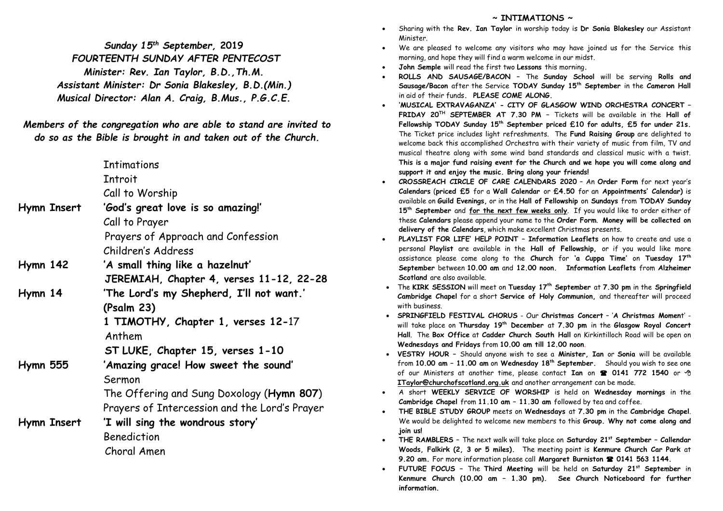*Sunday 15th September,* **2019**  *FOURTEENTH SUNDAY AFTER PENTECOST Minister: Rev. Ian Taylor, B.D.,Th.M. Assistant Minister: Dr Sonia Blakesley, B.D.(Min.) Musical Director: Alan A. Craig, B.Mus., P.G.C.E.*

*Members of the congregation who are able to stand are invited to do so as the Bible is brought in and taken out of the Church.*

|                 | <b>Intimations</b>                            |
|-----------------|-----------------------------------------------|
|                 | Introit                                       |
|                 | Call to Worship                               |
| Hymn Insert     | 'God's great love is so amazing!'             |
|                 | Call to Prayer                                |
|                 | Prayers of Approach and Confession            |
|                 | Children's Address                            |
| <b>Hymn 142</b> | 'A small thing like a hazelnut'               |
|                 | JEREMIAH, Chapter 4, verses 11-12, 22-28      |
| Hymn 14         | 'The Lord's my Shepherd, I'll not want.'      |
|                 | (Psalm 23)                                    |
|                 | 1 TIMOTHY, Chapter 1, verses 12-17            |
|                 | Anthem                                        |
|                 | ST LUKE, Chapter 15, verses 1-10              |
| <b>Hymn 555</b> | 'Amazing grace! How sweet the sound'          |
|                 | Sermon                                        |
|                 | The Offering and Sung Doxology (Hymn 807)     |
|                 | Prayers of Intercession and the Lord's Prayer |
| Hymn Insert     | 'I will sing the wondrous story'              |
|                 | Benediction                                   |
|                 | Choral Amen                                   |
|                 |                                               |

## **~ INTIMATIONS ~**

- Sharing with the **Rev. Ian Taylor** in worship today is **Dr Sonia Blakesley** our Assistant Minister.
- We are pleased to welcome any visitors who may have joined us for the Service this morning, and hope they will find a warm welcome in our midst.
- **John Semple** will read the first two **Lessons** this morning**.**
- **ROLLS AND SAUSAGE/BACON –** The **Sunday School** will be serving **Rolls and Sausage/Bacon** after the Service **TODAY Sunday 15th September** in the **Cameron Hall**  in aid of their funds**. PLEASE COME ALONG.**
- **'MUSICAL EXTRAVAGANZA' - CITY OF GLASGOW WIND ORCHESTRA CONCERT – FRIDAY 20 TH SEPTEMBER AT 7.30 PM –** Tickets will be available in the **Hall of Fellowship TODAY Sunday 15th September priced £10 for adults, £5 for under 21s.**  The Ticket price includes light refreshments. The **Fund Raising Group** are delighted to welcome back this accomplished Orchestra with their variety of music from film, TV and musical theatre along with some wind band standards and classical music with a twist. **This is a major fund raising event for the Church and we hope you will come along and support it and enjoy the music. Bring along your friends!**
- **CROSSREACH CIRCLE OF CARE CALENDARS 2020** An **Order Form** for next year's **Calendars** (**priced £5** for a **Wall Calendar** or **£4.50** for an **Appointments' Calendar)** is available on **Guild Evenings,** or in the **Hall of Fellowship** on **Sundays** from **TODAY Sunday 15th September** and **for the next few weeks only**. If you would like to order either of these **Calendars** please append your name to the **Order Form**. **Money will be collected on delivery of the Calendars**, which make excellent Christmas presents.
- **PLAYLIST FOR LIFE' HELP POINT – Information Leaflets** on how to create and use a personal **Playlist** are available in the **Hall of Fellowship,** or if you would like more assistance please come along to the **Church** for **'a Cuppa Time'** on **Tuesday 17th September** between **10.00 am** and **12.00 noon. Information Leaflets** from **Alzheimer Scotland** are also available.
- The **KIRK SESSION** will meet on **Tuesday 17th September** at **7.30 pm** in the **Springfield Cambridge Chapel** for a short **Service of Holy Communion,** and thereafter will proceed with business.
- **SPRINGFIELD FESTIVAL CHORUS** Our **Christmas Concert** '**A Christmas Momen**t' will take place on **Thursday 19th December** at **7.30 pm** in the **Glasgow Royal Concert Hall**. The **Box Office** at **Cadder Church South Hall** on Kirkintilloch Road will be open on **Wednesdays and Fridays** from **10.00 am till 12.00 noon**.
- **VESTRY HOUR –** Should anyone wish to see a **Minister, Ian** or **Sonia** will be available from **10.00 am – 11.00 am** on **Wednesday 18 th September.** Should you wish to see one of our Ministers at another time, please contact **Ian** on **0141 772 1540** or **[ITaylor@churchofscotland.org.uk](mailto:ITaylor@churchofscotland.org.uk)** and another arrangement can be made.
- A short **WEEKLY SERVICE OF WORSHIP** is held on **Wednesday mornings** in the **Cambridge Chapel** from **11.10 am – 11.30 am** followed by tea and coffee.
- **THE BIBLE STUDY GROUP** meets on **Wednesdays** at **7.30 pm** in the **Cambridge Chapel**. We would be delighted to welcome new members to this **Group. Why not come along and join us!**
- **THE RAMBLERS –** The next walk will take place on **Saturday 21st September – Callendar Woods, Falkirk (2, 3 or 5 miles).** The meeting point is **Kenmure Church Car Park** at 9.20 am. For more information please call Margaret Burniston <sup>2</sup> 0141 563 1144.
- **FUTURE FOCUS –** The **Third Meeting** will be held on **Saturday 21st September** in **Kenmure Church (10.00 am – 1.30 pm). See Church Noticeboard for further information.**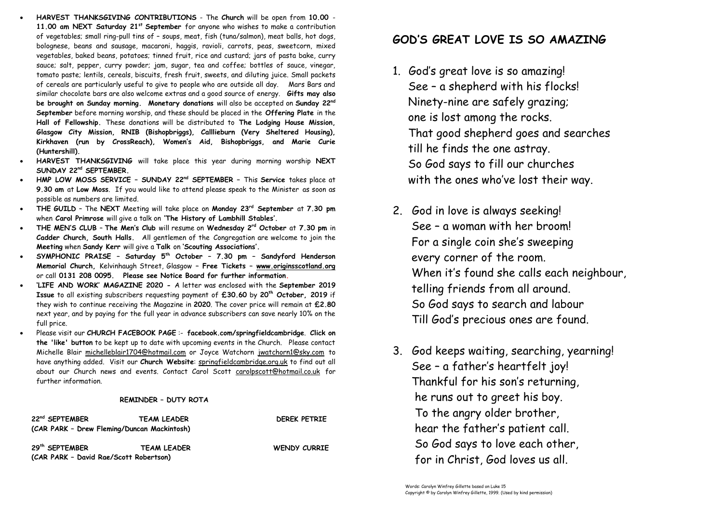- **HARVEST THANKSGIVING CONTRIBUTIONS** The **Church** will be open from **10.00 11.00 am NEXT Saturday 21st September** for anyone who wishes to make a contribution of vegetables; small ring-pull tins of – soups, meat, fish (tuna/salmon), meat balls, hot dogs, bolognese, beans and sausage, macaroni, haggis, ravioli, carrots, peas, sweetcorn, mixed vegetables, baked beans, potatoes; tinned fruit, rice and custard; jars of pasta bake, curry sauce; salt, pepper, curry powder; jam, sugar, tea and coffee; bottles of sauce, vinegar, tomato paste; lentils, cereals, biscuits, fresh fruit, sweets, and diluting juice. Small packets of cereals are particularly useful to give to people who are outside all day. Mars Bars and similar chocolate bars are also welcome extras and a good source of energy. **Gifts may also be brought on Sunday morning. Monetary donations** will also be accepted on **Sunday 22nd September** before morning worship, and these should be placed in the **Offering Plate** in the **Hall of Fellowship.** These donations will be distributed to **The Lodging House Mission, Glasgow City Mission, RNIB (Bishopbriggs), Calllieburn (Very Sheltered Housing), Kirkhaven (run by CrossReach), Women's Aid, Bishopbriggs, and Marie Curie (Huntershill).**
- **HARVEST THANKSGIVING** will take place this year during morning worship **NEXT SUNDAY 22 nd SEPTEMBER.**
- **HMP LOW MOSS SERVICE – SUNDAY 22 nd SEPTEMBER –** This **Service** takes place at **9.30 am** at **Low Moss**. If you would like to attend please speak to the Minister as soon as possible as numbers are limited.
- **THE GUILD** The **NEXT** Meeting will take place on **Monday 23rd September** at **7.30 pm**  when **Carol Primrose** will give a talk on **'The History of Lambhill Stables'.**
- **THE MEN'S CLUB The Men's Club** will resume on **Wednesday 2rd October** at **7.30 pm** in **Cadder Church, South Halls.** All gentlemen of the Congregation are welcome to join the **Meeting** when **Sandy Kerr** will give a **Talk** on **'Scouting Associations'.**
- **SYMPHONIC PRAISE – Saturday 5th October – 7.30 pm – Sandyford Henderson Memorial Church,** Kelvinhaugh Street, Glasgow **– Free Tickets – [www.originsscotland.org](http://www.originsscotland.org/)** or call **0131 208 0095. Please see Notice Board for further information.**
- **'LIFE AND WORK' MAGAZINE 2020 -** A letter was enclosed with the **September 2019 Issue** to all existing subscribers requesting payment of **£30.60** by **20th October, 2019** if they wish to continue receiving the Magazine in **2020**. The cover price will remain at **£2.80**  next year, and by paying for the full year in advance subscribers can save nearly 10% on the full price.
- Please visit our **CHURCH FACEBOOK PAGE** :- **facebook.com/springfieldcambridge**. **Click on the 'like' button** to be kept up to date with upcoming events in the Church. Please contact Michelle Blair [michelleblair1704@hotmail.com](mailto:michelleblair1704@hotmail.com) or Joyce Watchorn [jwatchorn1@sky.com](mailto:jwatchorn1@sky.com) to have anything added. Visit our **Church Website**: springfieldcambridge.org.uk to find out all about our Church news and events. Contact Carol Scott [carolpscott@hotmail.co.uk](mailto:carolpscott@hotmail.co.uk) for further information.

## **REMINDER – DUTY ROTA**

| 22 <sup>nd</sup> SEPTEMBER<br>(CAR PARK - Drew Fleming/Duncan Mackintosh) | <b>TEAM LEADER</b> | <b>DEREK PETRIE</b> |
|---------------------------------------------------------------------------|--------------------|---------------------|
| 29th SEPTEMBER<br>(CAR PARK - David Rae/Scott Robertson)                  | <b>TEAM LEADER</b> | <b>WENDY CURRIE</b> |

## **GOD'S GREAT LOVE IS SO AMAZING**

- 1. God's great love is so amazing! See – a shepherd with his flocks! Ninety-nine are safely grazing; one is lost among the rocks. That good shepherd goes and searches till he finds the one astray. So God says to fill our churches with the ones who've lost their way.
- 2. God in love is always seeking! See – a woman with her broom! For a single coin she's sweeping every corner of the room. When it's found she calls each neighbour, telling friends from all around. So God says to search and labour Till God's precious ones are found.
- 3. God keeps waiting, searching, yearning! See – a father's heartfelt joy! Thankful for his son's returning, he runs out to greet his boy. To the angry older brother, hear the father's patient call. So God says to love each other, for in Christ, God loves us all.